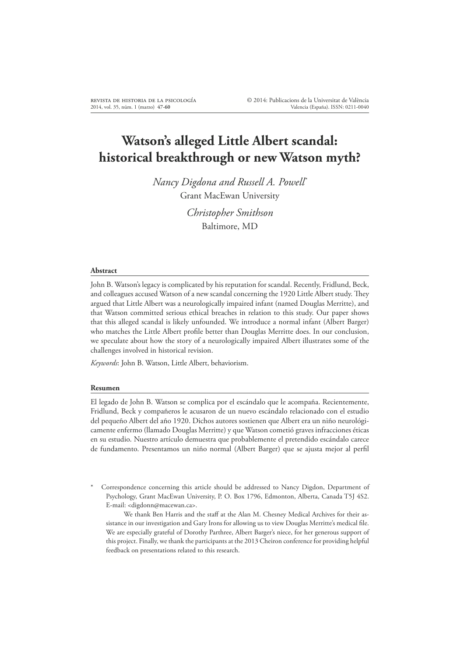# **Watson's alleged Little Albert scandal: historical breakthrough or new Watson myth?**

*Nancy Digdona and Russell A. Powell\** Grant MacEwan University

> *Christopher Smithson* Baltimore, MD

#### **Abstract**

John B. Watson's legacy is complicated by his reputation for scandal. Recently, Fridlund, Beck, and colleagues accused Watson of a new scandal concerning the 1920 Little Albert study. Hey argued that Little Albert was a neurologically impaired infant (named Douglas Merritte), and that Watson committed serious ethical breaches in relation to this study. Our paper shows that this alleged scandal is likely unfounded. We introduce a normal infant (Albert Barger) who matches the Little Albert profile better than Douglas Merritte does. In our conclusion, we speculate about how the story of a neurologically impaired Albert illustrates some of the challenges involved in historical revision.

*Keywords*: John B. Watson, Little Albert, behaviorism.

#### **Resumen**

El legado de John B. Watson se complica por el escándalo que le acompaña. Recientemente, Fridlund, Beck y compañeros le acusaron de un nuevo escándalo relacionado con el estudio del pequeño Albert del año 1920. Dichos autores sostienen que Albert era un niño neurológicamente enfermo (llamado Douglas Merritte) y que Watson cometió graves infracciones éticas en su estudio. Nuestro artículo demuestra que probablemente el pretendido escándalo carece de fundamento. Presentamos un niño normal (Albert Barger) que se ajusta mejor al perfil

Correspondence concerning this article should be addressed to Nancy Digdon, Department of Psychology, Grant MacEwan University, P. O. Box 1796, Edmonton, Alberta, Canada T5J 4S2. E-mail: <digdonn@macewan.ca>.

We thank Ben Harris and the staff at the Alan M. Chesney Medical Archives for their assistance in our investigation and Gary Irons for allowing us to view Douglas Merritte's medical file. We are especially grateful of Dorothy Parthree, Albert Barger's niece, for her generous support of this project. Finally, we thank the participants at the 2013 Cheiron conference for providing helpful feedback on presentations related to this research.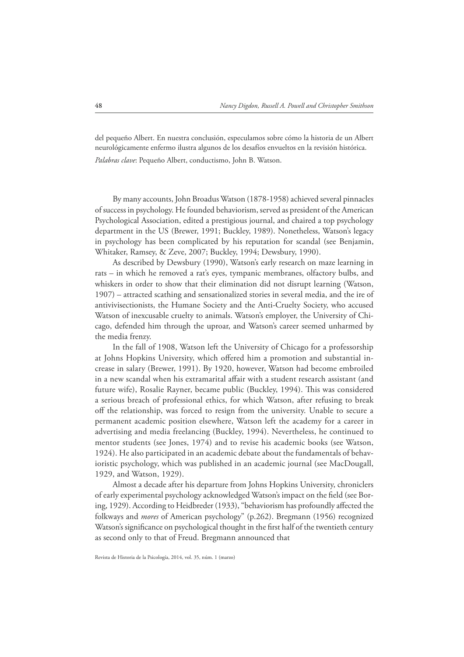del pequeño Albert. En nuestra conclusión, especulamos sobre cómo la historia de un Albert neurológicamente enfermo ilustra algunos de los desafíos envueltos en la revisión histórica.

*Palabras clave*: Pequeño Albert, conductismo, John B. Watson.

By many accounts, John Broadus Watson (1878-1958) achieved several pinnacles of success in psychology. He founded behaviorism, served as president of the American Psychological Association, edited a prestigious journal, and chaired a top psychology department in the US (Brewer, 1991; Buckley, 1989). Nonetheless, Watson's legacy in psychology has been complicated by his reputation for scandal (see Benjamin, Whitaker, Ramsey, & Zeve, 2007; Buckley, 1994; Dewsbury, 1990).

As described by Dewsbury (1990), Watson's early research on maze learning in rats – in which he removed a rat's eyes, tympanic membranes, olfactory bulbs, and whiskers in order to show that their elimination did not disrupt learning (Watson, 1907) – attracted scathing and sensationalized stories in several media, and the ire of antivivisectionists, the Humane Society and the Anti-Cruelty Society, who accused Watson of inexcusable cruelty to animals. Watson's employer, the University of Chicago, defended him through the uproar, and Watson's career seemed unharmed by the media frenzy.

In the fall of 1908, Watson left the University of Chicago for a professorship at Johns Hopkins University, which offered him a promotion and substantial increase in salary (Brewer, 1991). By 1920, however, Watson had become embroiled in a new scandal when his extramarital affair with a student research assistant (and future wife), Rosalie Rayner, became public (Buckley, 1994). His was considered a serious breach of professional ethics, for which Watson, after refusing to break off the relationship, was forced to resign from the university. Unable to secure a permanent academic position elsewhere, Watson left the academy for a career in advertising and media freelancing (Buckley, 1994). Nevertheless, he continued to mentor students (see Jones, 1974) and to revise his academic books (see Watson, 1924). He also participated in an academic debate about the fundamentals of behavioristic psychology, which was published in an academic journal (see MacDougall, 1929, and Watson, 1929).

Almost a decade after his departure from Johns Hopkins University, chroniclers of early experimental psychology acknowledged Watson's impact on the field (see Boring, 1929). According to Heidbreder (1933), "behaviorism has profoundly affected the folkways and *mores* of American psychology" (p.262). Bregmann (1956) recognized Watson's significance on psychological thought in the first half of the twentieth century as second only to that of Freud. Bregmann announced that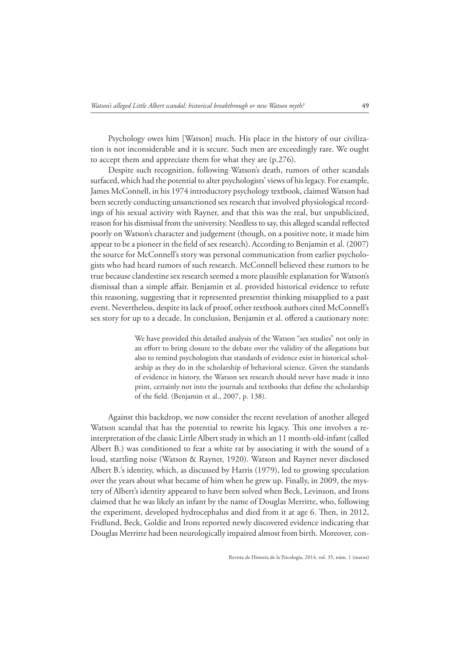Psychology owes him [Watson] much. His place in the history of our civilization is not inconsiderable and it is secure. Such men are exceedingly rare. We ought to accept them and appreciate them for what they are (p.276).

Despite such recognition, following Watson's death, rumors of other scandals surfaced, which had the potential to alter psychologists' views of his legacy. For example, James McConnell, in his 1974 introductory psychology textbook, claimed Watson had been secretly conducting unsanctioned sex research that involved physiological recordings of his sexual activity with Rayner, and that this was the real, but unpublicized, reason for his dismissal from the university. Needless to say, this alleged scandal reflected poorly on Watson's character and judgement (though, on a positive note, it made him appear to be a pioneer in the field of sex research). According to Benjamin et al. (2007) the source for McConnell's story was personal communication from earlier psychologists who had heard rumors of such research. McConnell believed these rumors to be true because clandestine sex research seemed a more plausible explanation for Watson's dismissal than a simple affair. Benjamin et al. provided historical evidence to refute this reasoning, suggesting that it represented presentist thinking misapplied to a past event. Nevertheless, despite its lack of proof, other textbook authors cited McConnell's sex story for up to a decade. In conclusion, Benjamin et al. offered a cautionary note:

> We have provided this detailed analysis of the Watson "sex studies" not only in an effort to bring closure to the debate over the validity of the allegations but also to remind psychologists that standards of evidence exist in historical scholarship as they do in the scholarship of behavioral science. Given the standards of evidence in history, the Watson sex research should never have made it into print, certainly not into the journals and textbooks that define the scholarship of the field. (Benjamin et al., 2007, p. 138).

Against this backdrop, we now consider the recent revelation of another alleged Watson scandal that has the potential to rewrite his legacy. This one involves a reinterpretation of the classic Little Albert study in which an 11 month-old-infant (called Albert B.) was conditioned to fear a white rat by associating it with the sound of a loud, startling noise (Watson & Rayner, 1920). Watson and Rayner never disclosed Albert B.'s identity, which, as discussed by Harris (1979), led to growing speculation over the years about what became of him when he grew up. Finally, in 2009, the mystery of Albert's identity appeared to have been solved when Beck, Levinson, and Irons claimed that he was likely an infant by the name of Douglas Merritte, who, following the experiment, developed hydrocephalus and died from it at age 6. Hen, in 2012, Fridlund, Beck, Goldie and Irons reported newly discovered evidence indicating that Douglas Merritte had been neurologically impaired almost from birth. Moreover, con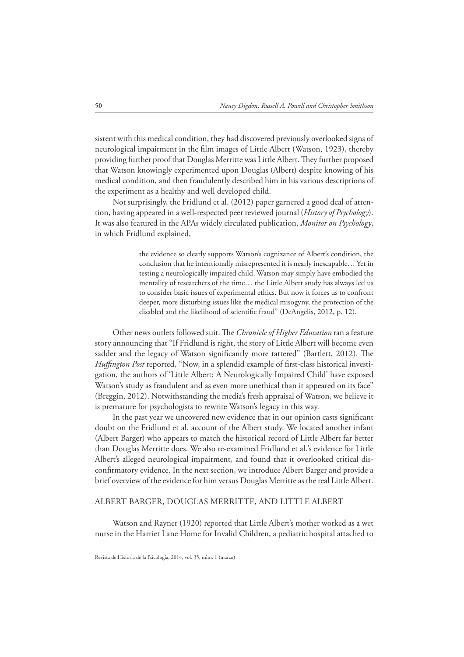sistent with this medical condition, they had discovered previously overlooked signs of neurological impairment in the film images of Little Albert (Watson, 1923), thereby providing further proof that Douglas Merritte was Little Albert. Hey further proposed that Watson knowingly experimented upon Douglas (Albert) despite knowing of his medical condition, and then fraudulently described him in his various descriptions of the experiment as a healthy and well developed child.

Not surprisingly, the Fridlund et al. (2012) paper garnered a good deal of attention, having appeared in a well-respected peer reviewed journal (*History of Psychology*). It was also featured in the APAs widely circulated publication, *Monitor on Psychology*, in which Fridlund explained,

> the evidence so clearly supports Watson's cognizance of Albert's condition, the conclusion that he intentionally misrepresented it is nearly inescapable… Yet in testing a neurologically impaired child, Watson may simply have embodied the mentality of researchers of the time… the Little Albert study has always led us to consider basic issues of experimental ethics. But now it forces us to confront deeper, more disturbing issues like the medical misogyny, the protection of the disabled and the likelihood of scientific fraud" (DeAngelis, 2012, p. 12).

Other news outlets followed suit. He *Chronicle of Higher Education* ran a feature story announcing that "If Fridlund is right, the story of Little Albert will become even sadder and the legacy of Watson significantly more tattered" (Bartlett, 2012). The *Huffington Post* reported, "Now, in a splendid example of first-class historical investigation, the authors of 'Little Albert: A Neurologically Impaired Child' have exposed Watson's study as fraudulent and as even more unethical than it appeared on its face" (Breggin, 2012). Notwithstanding the media's fresh appraisal of Watson, we believe it is premature for psychologists to rewrite Watson's legacy in this way.

In the past year we uncovered new evidence that in our opinion casts significant doubt on the Fridlund et al. account of the Albert study. We located another infant (Albert Barger) who appears to match the historical record of Little Albert far better than Douglas Merritte does. We also re-examined Fridlund et al.'s evidence for Little Albert's alleged neurological impairment, and found that it overlooked critical disconfirmatory evidence. In the next section, we introduce Albert Barger and provide a brief overview of the evidence for him versus Douglas Merritte as the real Little Albert.

### ALBERT BARGER, DOUGLAS MERRITTE, AND LITTLE ALBERT

Watson and Rayner (1920) reported that Little Albert's mother worked as a wet nurse in the Harriet Lane Home for Invalid Children, a pediatric hospital attached to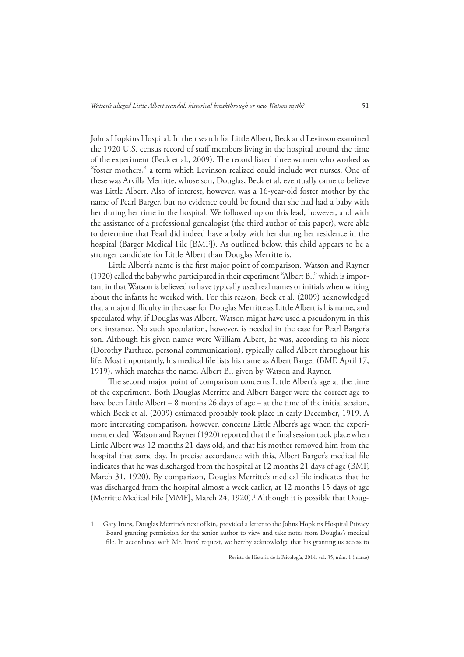Johns Hopkins Hospital. In their search for Little Albert, Beck and Levinson examined the 1920 U.S. census record of staff members living in the hospital around the time of the experiment (Beck et al., 2009). He record listed three women who worked as "foster mothers," a term which Levinson realized could include wet nurses. One of these was Arvilla Merritte, whose son, Douglas, Beck et al. eventually came to believe was Little Albert. Also of interest, however, was a 16-year-old foster mother by the name of Pearl Barger, but no evidence could be found that she had had a baby with her during her time in the hospital. We followed up on this lead, however, and with the assistance of a professional genealogist (the third author of this paper), were able to determine that Pearl did indeed have a baby with her during her residence in the hospital (Barger Medical File [BMF]). As outlined below, this child appears to be a stronger candidate for Little Albert than Douglas Merritte is.

Little Albert's name is the first major point of comparison. Watson and Rayner (1920) called the baby who participated in their experiment "Albert B.," which is important in that Watson is believed to have typically used real names or initials when writing about the infants he worked with. For this reason, Beck et al. (2009) acknowledged that a major difficulty in the case for Douglas Merritte as Little Albert is his name, and speculated why, if Douglas was Albert, Watson might have used a pseudonym in this one instance. No such speculation, however, is needed in the case for Pearl Barger's son. Although his given names were William Albert, he was, according to his niece (Dorothy Parthree, personal communication), typically called Albert throughout his life. Most importantly, his medical file lists his name as Albert Barger (BMF, April 17, 1919), which matches the name, Albert B., given by Watson and Rayner.

The second major point of comparison concerns Little Albert's age at the time of the experiment. Both Douglas Merritte and Albert Barger were the correct age to have been Little Albert – 8 months 26 days of age – at the time of the initial session, which Beck et al. (2009) estimated probably took place in early December, 1919. A more interesting comparison, however, concerns Little Albert's age when the experiment ended. Watson and Rayner (1920) reported that the final session took place when Little Albert was 12 months 21 days old, and that his mother removed him from the hospital that same day. In precise accordance with this, Albert Barger's medical file indicates that he was discharged from the hospital at 12 months 21 days of age (BMF, March 31, 1920). By comparison, Douglas Merritte's medical file indicates that he was discharged from the hospital almost a week earlier, at 12 months 15 days of age (Merritte Medical File [MMF], March 24, 1920).<sup>1</sup> Although it is possible that Doug-

1. Gary Irons, Douglas Merritte's next of kin, provided a letter to the Johns Hopkins Hospital Privacy Board granting permission for the senior author to view and take notes from Douglas's medical file. In accordance with Mr. Irons' request, we hereby acknowledge that his granting us access to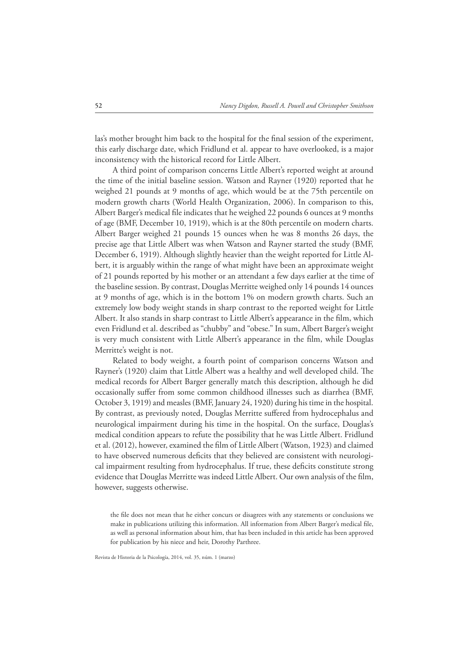las's mother brought him back to the hospital for the final session of the experiment, this early discharge date, which Fridlund et al. appear to have overlooked, is a major inconsistency with the historical record for Little Albert.

A third point of comparison concerns Little Albert's reported weight at around the time of the initial baseline session. Watson and Rayner (1920) reported that he weighed 21 pounds at 9 months of age, which would be at the 75th percentile on modern growth charts (World Health Organization, 2006). In comparison to this, Albert Barger's medical file indicates that he weighed 22 pounds 6 ounces at 9 months of age (BMF, December 10, 1919), which is at the 80th percentile on modern charts. Albert Barger weighed 21 pounds 15 ounces when he was 8 months 26 days, the precise age that Little Albert was when Watson and Rayner started the study (BMF, December 6, 1919). Although slightly heavier than the weight reported for Little Albert, it is arguably within the range of what might have been an approximate weight of 21 pounds reported by his mother or an attendant a few days earlier at the time of the baseline session. By contrast, Douglas Merritte weighed only 14 pounds 14 ounces at 9 months of age, which is in the bottom 1% on modern growth charts. Such an extremely low body weight stands in sharp contrast to the reported weight for Little Albert. It also stands in sharp contrast to Little Albert's appearance in the film, which even Fridlund et al. described as "chubby" and "obese." In sum, Albert Barger's weight is very much consistent with Little Albert's appearance in the film, while Douglas Merritte's weight is not.

Related to body weight, a fourth point of comparison concerns Watson and Rayner's (1920) claim that Little Albert was a healthy and well developed child. He medical records for Albert Barger generally match this description, although he did occasionally suffer from some common childhood illnesses such as diarrhea (BMF, October 3, 1919) and measles (BMF, January 24, 1920) during his time in the hospital. By contrast, as previously noted, Douglas Merritte suffered from hydrocephalus and neurological impairment during his time in the hospital. On the surface, Douglas's medical condition appears to refute the possibility that he was Little Albert. Fridlund et al. (2012), however, examined the Klm of Little Albert (Watson, 1923) and claimed to have observed numerous deficits that they believed are consistent with neurological impairment resulting from hydrocephalus. If true, these deficits constitute strong evidence that Douglas Merritte was indeed Little Albert. Our own analysis of the film, however, suggests otherwise.

the file does not mean that he either concurs or disagrees with any statements or conclusions we make in publications utilizing this information. All information from Albert Barger's medical file, as well as personal information about him, that has been included in this article has been approved for publication by his niece and heir, Dorothy Parthree.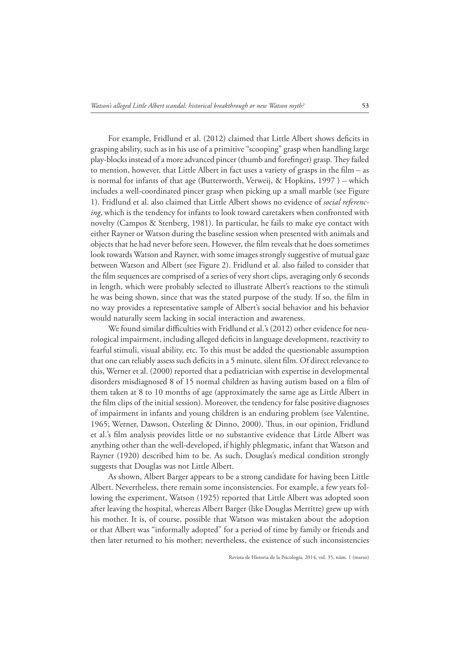For example, Fridlund et al. (2012) claimed that Little Albert shows deficits in grasping ability, such as in his use of a primitive "scooping" grasp when handling large play-blocks instead of a more advanced pincer (thumb and forefinger) grasp. They failed to mention, however, that Little Albert in fact uses a variety of grasps in the film  $-$  as is normal for infants of that age (Butterworth, Verweij, & Hopkins, 1997 ) – which includes a well-coordinated pincer grasp when picking up a small marble (see Figure 1). Fridlund et al. also claimed that Little Albert shows no evidence of *social referencing*, which is the tendency for infants to look toward caretakers when confronted with novelty (Campos & Stenberg, 1981). In particular, he fails to make eye contact with either Rayner or Watson during the baseline session when presented with animals and objects that he had never before seen. However, the Klm reveals that he does sometimes look towards Watson and Rayner, with some images strongly suggestive of mutual gaze between Watson and Albert (see Figure 2). Fridlund et al. also failed to consider that the film sequences are comprised of a series of very short clips, averaging only 6 seconds in length, which were probably selected to illustrate Albert's reactions to the stimuli he was being shown, since that was the stated purpose of the study. If so, the film in no way provides a representative sample of Albert's social behavior and his behavior would naturally seem lacking in social interaction and awareness.

We found similar difficulties with Fridlund et al.'s (2012) other evidence for neurological impairment, including alleged deficits in language development, reactivity to fearful stimuli, visual ability, etc. To this must be added the questionable assumption that one can reliably assess such deficits in a 5 minute, silent film. Of direct relevance to this, Werner et al. (2000) reported that a pediatrician with expertise in developmental disorders misdiagnosed 8 of 15 normal children as having autism based on a film of them taken at 8 to 10 months of age (approximately the same age as Little Albert in the film clips of the initial session). Moreover, the tendency for false positive diagnoses of impairment in infants and young children is an enduring problem (see Valentine, 1965; Werner, Dawson, Osterling & Dinno, 2000). Hus, in our opinion, Fridlund et al.'s film analysis provides little or no substantive evidence that Little Albert was anything other than the well-developed, if highly phlegmatic, infant that Watson and Rayner (1920) described him to be. As such, Douglas's medical condition strongly suggests that Douglas was not Little Albert.

As shown, Albert Barger appears to be a strong candidate for having been Little Albert. Nevertheless, there remain some inconsistencies. For example, a few years following the experiment, Watson (1925) reported that Little Albert was adopted soon after leaving the hospital, whereas Albert Barger (like Douglas Merritte) grew up with his mother. It is, of course, possible that Watson was mistaken about the adoption or that Albert was "informally adopted" for a period of time by family or friends and then later returned to his mother; nevertheless, the existence of such inconsistencies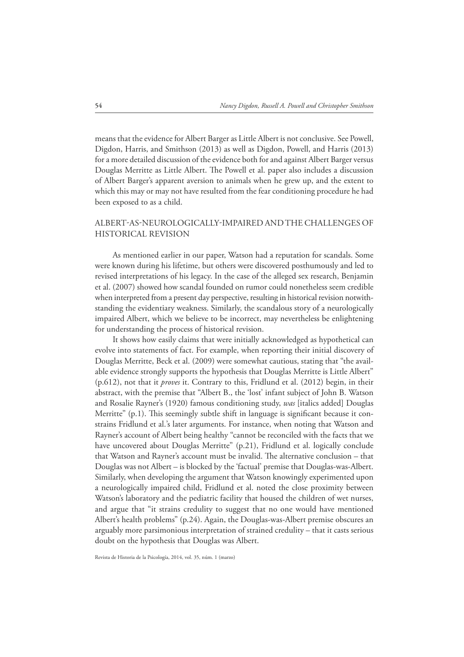means that the evidence for Albert Barger as Little Albert is not conclusive. See Powell, Digdon, Harris, and Smithson (2013) as well as Digdon, Powell, and Harris (2013) for a more detailed discussion of the evidence both for and against Albert Barger versus Douglas Merritte as Little Albert. He Powell et al. paper also includes a discussion of Albert Barger's apparent aversion to animals when he grew up, and the extent to which this may or may not have resulted from the fear conditioning procedure he had been exposed to as a child.

# ALBERT-AS-NEUROLOGICALLY-IMPAIRED AND THE CHALLENGES OF HISTORICAL REVISION

As mentioned earlier in our paper, Watson had a reputation for scandals. Some were known during his lifetime, but others were discovered posthumously and led to revised interpretations of his legacy. In the case of the alleged sex research, Benjamin et al. (2007) showed how scandal founded on rumor could nonetheless seem credible when interpreted from a present day perspective, resulting in historical revision notwithstanding the evidentiary weakness. Similarly, the scandalous story of a neurologically impaired Albert, which we believe to be incorrect, may nevertheless be enlightening for understanding the process of historical revision.

It shows how easily claims that were initially acknowledged as hypothetical can evolve into statements of fact. For example, when reporting their initial discovery of Douglas Merritte, Beck et al. (2009) were somewhat cautious, stating that "the available evidence strongly supports the hypothesis that Douglas Merritte is Little Albert" (p.612), not that it *proves* it. Contrary to this, Fridlund et al. (2012) begin, in their abstract, with the premise that "Albert B., the 'lost' infant subject of John B. Watson and Rosalie Rayner's (1920) famous conditioning study, *was* [italics added] Douglas Merritte"  $(p,1)$ . This seemingly subtle shift in language is significant because it constrains Fridlund et al.'s later arguments. For instance, when noting that Watson and Rayner's account of Albert being healthy "cannot be reconciled with the facts that we have uncovered about Douglas Merritte" (p.21), Fridlund et al. logically conclude that Watson and Rayner's account must be invalid. He alternative conclusion – that Douglas was not Albert – is blocked by the 'factual' premise that Douglas-was-Albert. Similarly, when developing the argument that Watson knowingly experimented upon a neurologically impaired child, Fridlund et al. noted the close proximity between Watson's laboratory and the pediatric facility that housed the children of wet nurses, and argue that "it strains credulity to suggest that no one would have mentioned Albert's health problems" (p.24). Again, the Douglas-was-Albert premise obscures an arguably more parsimonious interpretation of strained credulity – that it casts serious doubt on the hypothesis that Douglas was Albert.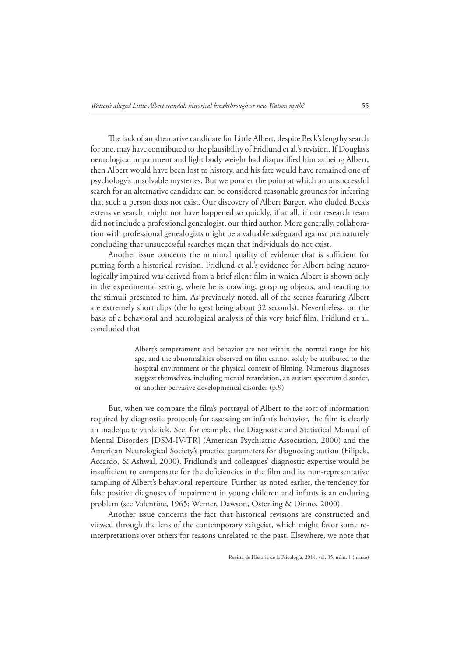The lack of an alternative candidate for Little Albert, despite Beck's lengthy search for one, may have contributed to the plausibility of Fridlund et al.'s revision. If Douglas's neurological impairment and light body weight had disqualified him as being Albert, then Albert would have been lost to history, and his fate would have remained one of psychology's unsolvable mysteries. But we ponder the point at which an unsuccessful search for an alternative candidate can be considered reasonable grounds for inferring that such a person does not exist.Our discovery of Albert Barger, who eluded Beck's extensive search, might not have happened so quickly, if at all, if our research team did not include a professional genealogist, our third author. More generally, collaboration with professional genealogists might be a valuable safeguard against prematurely concluding that unsuccessful searches mean that individuals do not exist.

Another issue concerns the minimal quality of evidence that is sufficient for putting forth a historical revision. Fridlund et al.'s evidence for Albert being neurologically impaired was derived from a brief silent film in which Albert is shown only in the experimental setting, where he is crawling, grasping objects, and reacting to the stimuli presented to him. As previously noted, all of the scenes featuring Albert are extremely short clips (the longest being about 32 seconds). Nevertheless, on the basis of a behavioral and neurological analysis of this very brief film, Fridlund et al. concluded that

> Albert's temperament and behavior are not within the normal range for his age, and the abnormalities observed on film cannot solely be attributed to the hospital environment or the physical context of filming. Numerous diagnoses suggest themselves, including mental retardation, an autism spectrum disorder, or another pervasive developmental disorder (p.9)

But, when we compare the film's portrayal of Albert to the sort of information required by diagnostic protocols for assessing an infant's behavior, the film is clearly an inadequate yardstick. See, for example, the Diagnostic and Statistical Manual of Mental Disorders [DSM-IV-TR] (American Psychiatric Association, 2000) and the American Neurological Society's practice parameters for diagnosing autism (Filipek, Accardo, & Ashwal, 2000). Fridlund's and colleagues' diagnostic expertise would be insufficient to compensate for the deficiencies in the film and its non-representative sampling of Albert's behavioral repertoire. Further, as noted earlier, the tendency for false positive diagnoses of impairment in young children and infants is an enduring problem (see Valentine, 1965; Werner, Dawson, Osterling & Dinno, 2000).

Another issue concerns the fact that historical revisions are constructed and viewed through the lens of the contemporary zeitgeist, which might favor some reinterpretations over others for reasons unrelated to the past. Elsewhere, we note that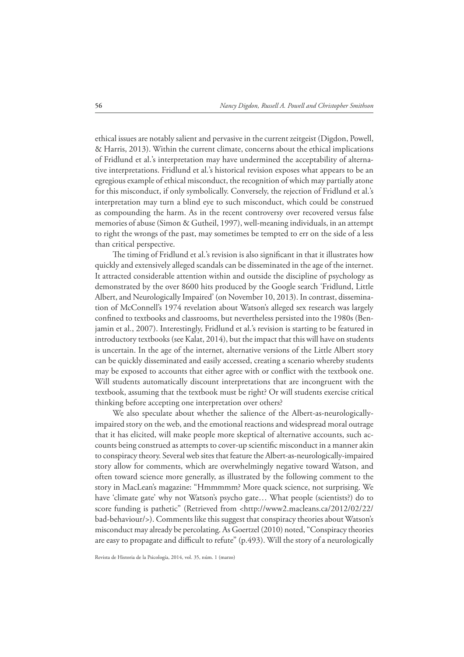ethical issues are notably salient and pervasive in the current zeitgeist (Digdon, Powell, & Harris, 2013). Within the current climate, concerns about the ethical implications of Fridlund et al.'s interpretation may have undermined the acceptability of alternative interpretations. Fridlund et al.'s historical revision exposes what appears to be an egregious example of ethical misconduct, the recognition of which may partially atone for this misconduct, if only symbolically. Conversely, the rejection of Fridlund et al.'s interpretation may turn a blind eye to such misconduct, which could be construed as compounding the harm. As in the recent controversy over recovered versus false memories of abuse (Simon & Gutheil, 1997), well-meaning individuals, in an attempt to right the wrongs of the past, may sometimes be tempted to err on the side of a less than critical perspective.

The timing of Fridlund et al.'s revision is also significant in that it illustrates how quickly and extensively alleged scandals can be disseminated in the age of the internet. It attracted considerable attention within and outside the discipline of psychology as demonstrated by the over 8600 hits produced by the Google search 'Fridlund, Little Albert, and Neurologically Impaired' (on November 10, 2013). In contrast, dissemination of McConnell's 1974 revelation about Watson's alleged sex research was largely confined to textbooks and classrooms, but nevertheless persisted into the 1980s (Benjamin et al., 2007). Interestingly, Fridlund et al.'s revision is starting to be featured in introductory textbooks (see Kalat, 2014), but the impact that this will have on students is uncertain. In the age of the internet, alternative versions of the Little Albert story can be quickly disseminated and easily accessed, creating a scenario whereby students may be exposed to accounts that either agree with or conflict with the textbook one. Will students automatically discount interpretations that are incongruent with the textbook, assuming that the textbook must be right? Or will students exercise critical thinking before accepting one interpretation over others?

We also speculate about whether the salience of the Albert-as-neurologicallyimpaired story on the web, and the emotional reactions and widespread moral outrage that it has elicited, will make people more skeptical of alternative accounts, such accounts being construed as attempts to cover-up scientific misconduct in a manner akin to conspiracy theory. Several web sites that feature the Albert-as-neurologically-impaired story allow for comments, which are overwhelmingly negative toward Watson, and often toward science more generally, as illustrated by the following comment to the story in MacLean's magazine: "Hmmmmm? More quack science, not surprising. We have 'climate gate' why not Watson's psycho gate… What people (scientists?) do to score funding is pathetic" (Retrieved from <http://www2.macleans.ca/2012/02/22/ bad-behaviour/>). Comments like this suggest that conspiracy theories about Watson's misconduct may already be percolating. As Goertzel (2010) noted, "Conspiracy theories are easy to propagate and difficult to refute" (p.493). Will the story of a neurologically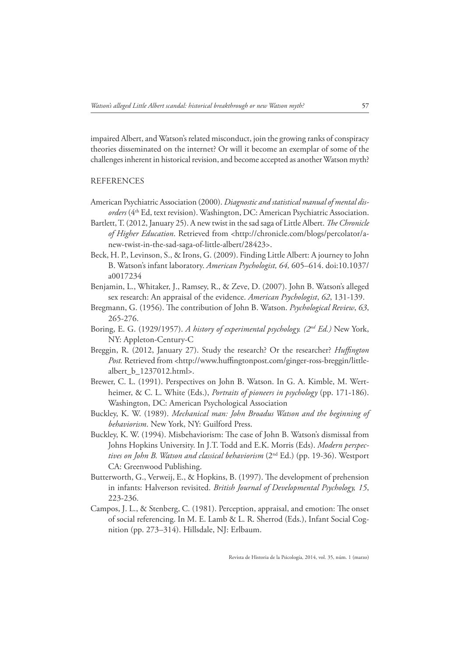impaired Albert, and Watson's related misconduct, join the growing ranks of conspiracy theories disseminated on the internet? Or will it become an exemplar of some of the challenges inherent in historical revision, and become accepted as another Watson myth?

#### REFERENCES

- American Psychiatric Association (2000). *Diagnostic and statistical manual of mental disorders* (4th Ed, text revision). Washington, DC: American Psychiatric Association.
- Bartlett, T. (2012, January 25). A new twist in the sad saga of Little Albert. *The Chronicle* of Higher Education. Retrieved from <http://chronicle.com/blogs/percolator/anew-twist-in-the-sad-saga-of-little-albert/28423>.
- Beck, H. P., Levinson, S., & Irons, G. (2009). Finding Little Albert: A journey to John B. Watson's infant laboratory. *American Psychologist, 64,* 605–614. doi:10.1037/ a0017234
- Benjamin, L., Whitaker, J., Ramsey, R., & Zeve, D. (2007). John B. Watson's alleged sex research: An appraisal of the evidence. *American Psychologist*, *62*, 131-139.
- Bregmann, G. (1956). He contribution of John B. Watson. *Psychological Review*, *63*, 265-276.
- Boring, E. G. (1929/1957). *A history of experimental psychology. (2nd Ed.)* New York, NY: Appleton-Century-C
- Breggin, R. (2012, January 27). Study the research? Or the researcher? *Huffington* Post. Retrieved from <http://www.huffingtonpost.com/ginger-ross-breggin/littlealbert\_b\_1237012.html>.
- Brewer, C. L. (1991). Perspectives on John B. Watson. In G. A. Kimble, M. Wertheimer, & C. L. White (Eds.), *Portraits of pioneers in psychology* (pp. 171-186). Washington, DC: American Psychological Association
- Buckley, K. W. (1989). *Mechanical man: John Broadus Watson and the beginning of behaviorism*. New York, NY: Guilford Press.
- Buckley, K. W. (1994). Misbehaviorism: He case of John B. Watson's dismissal from Johns Hopkins University. In J.T. Todd and E.K. Morris (Eds). *Modern perspectives on John B. Watson and classical behaviorism* (2nd Ed.) (pp. 19-36). Westport CA: Greenwood Publishing.
- Butterworth, G., Verweij, E., & Hopkins, B. (1997). He development of prehension in infants: Halverson revisited. *British Journal of Developmental Psychology, 15*, 223-236.
- Campos, J. L., & Stenberg, C. (1981). Perception, appraisal, and emotion: He onset of social referencing. In M. E. Lamb & L. R. Sherrod (Eds.), Infant Social Cognition (pp. 273–314). Hillsdale, NJ: Erlbaum.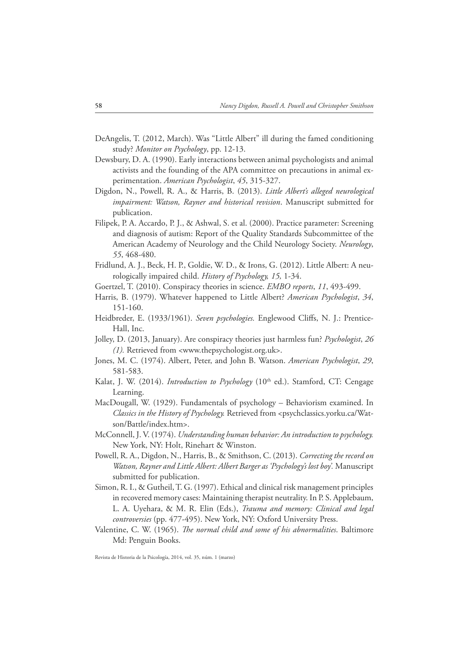- DeAngelis, T. (2012, March). Was "Little Albert" ill during the famed conditioning study? *Monitor on Psychology*, pp. 12-13.
- Dewsbury, D. A. (1990). Early interactions between animal psychologists and animal activists and the founding of the APA committee on precautions in animal experimentation. *American Psychologist*, *45*, 315-327.
- Digdon, N., Powell, R. A., & Harris, B. (2013). *Little Albert's alleged neurological impairment: Watson, Rayner and historical revision*. Manuscript submitted for publication.
- Filipek, P. A. Accardo, P. J., & Ashwal, S. et al. (2000). Practice parameter: Screening and diagnosis of autism: Report of the Quality Standards Subcommittee of the American Academy of Neurology and the Child Neurology Society. *Neurology*, *55*, 468-480.
- Fridlund, A. J., Beck, H. P., Goldie, W. D., & Irons, G. (2012). Little Albert: A neurologically impaired child. *History of Psychology, 15,* 1-34.
- Goertzel, T. (2010). Conspiracy theories in science. *EMBO reports*, *11*, 493-499.
- Harris, B. (1979). Whatever happened to Little Albert? *American Psychologist*, *34*, 151-160.
- Heidbreder, E. (1933/1961). Seven psychologies. Englewood Cliffs, N. J.: Prentice-Hall, Inc.
- Jolley, D. (2013, January). Are conspiracy theories just harmless fun? *Psychologist*, *26 (1).* Retrieved from <www.thepsychologist.org.uk>.
- Jones, M. C. (1974). Albert, Peter, and John B. Watson. *American Psychologist*, *29*, 581-583.
- Kalat, J. W. (2014). *Introduction to Psychology* (10<sup>th</sup> ed.). Stamford, CT: Cengage Learning.
- MacDougall, W. (1929). Fundamentals of psychology Behaviorism examined. In *Classics in the History of Psychology.* Retrieved from <psychclassics.yorku.ca/Watson/Battle/index.htm>.
- McConnell, J. V. (1974). *Understanding human behavior: An introduction to psychology.*  New York, NY: Holt, Rinehart & Winston.
- Powell, R. A., Digdon, N., Harris, B., & Smithson, C. (2013). *Correcting the record on Watson, Rayner and Little Albert: Albert Barger as 'Psychology's lost boy'.* Manuscript submitted for publication.
- Simon, R. I., & Gutheil, T. G. (1997). Ethical and clinical risk management principles in recovered memory cases: Maintaining therapist neutrality. In P. S. Applebaum, L. A. Uyehara, & M. R. Elin (Eds.), *Trauma and memory: Clinical and legal controversies* (pp. 477-495). New York, NY: Oxford University Press.
- Valentine, C. W. (1965). *The normal child and some of his abnormalities*. Baltimore Md: Penguin Books.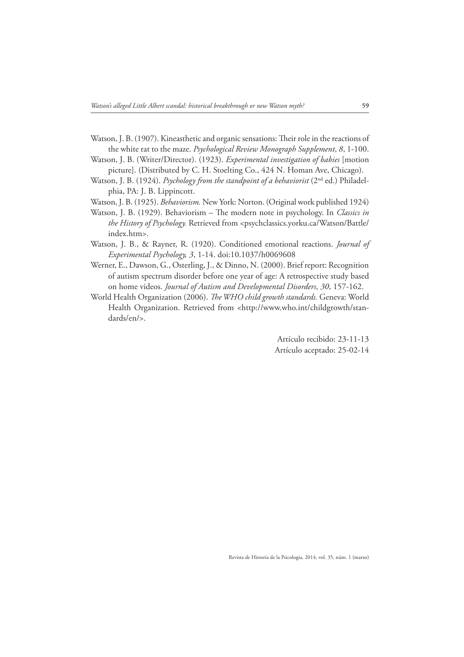- Watson, J. B. (1907). Kineasthetic and organic sensations: Heir role in the reactions of the white rat to the maze. *Psychological Review Monograph Supplement*, *8*, 1-100.
- Watson, J. B. (Writer/Director). (1923). *Experimental investigation of babies* [motion picture]. (Distributed by C. H. Stoelting Co., 424 N. Homan Ave, Chicago).
- Watson, J. B. (1924). *Psychology from the standpoint of a behaviorist* (2<sup>nd</sup> ed.) Philadelphia, PA: J. B. Lippincott.
- Watson, J. B. (1925). *Behaviorism.* New York: Norton. (Original work published 1924)
- Watson, J. B. (1929). Behaviorism He modern note in psychology. In *Classics in the History of Psychology.* Retrieved from <psychclassics.yorku.ca/Watson/Battle/ index.htm>.
- Watson, J. B., & Rayner, R. (1920). Conditioned emotional reactions. *Journal of Experimental Psychology, 3*, 1-14. doi:10.1037/h0069608
- Werner, E., Dawson, G., Osterling, J., & Dinno, N. (2000). Brief report: Recognition of autism spectrum disorder before one year of age: A retrospective study based on home videos. *Journal of Autism and Developmental Disorders*, *30*, 157-162.
- World Health Organization (2006). *The WHO child growth standards*. Geneva: World Health Organization. Retrieved from <http://www.who.int/childgrowth/standards/en/>.

Artículo recibido: 23-11-13 Artículo aceptado: 25-02-14